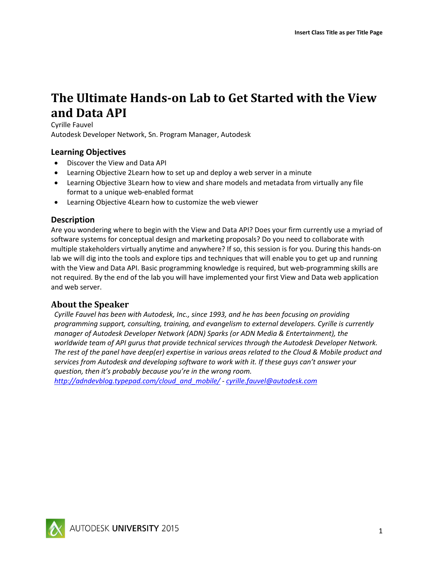# **The Ultimate Hands-on Lab to Get Started with the View and Data API**

Cyrille Fauvel Autodesk Developer Network, Sn. Program Manager, Autodesk

# **Learning Objectives**

- Discover the View and Data API
- Learning Objective 2Learn how to set up and deploy a web server in a minute
- Learning Objective 3Learn how to view and share models and metadata from virtually any file format to a unique web-enabled format
- Learning Objective 4Learn how to customize the web viewer

### **Description**

Are you wondering where to begin with the View and Data API? Does your firm currently use a myriad of software systems for conceptual design and marketing proposals? Do you need to collaborate with multiple stakeholders virtually anytime and anywhere? If so, this session is for you. During this hands-on lab we will dig into the tools and explore tips and techniques that will enable you to get up and running with the View and Data API. Basic programming knowledge is required, but web-programming skills are not required. By the end of the lab you will have implemented your first View and Data web application and web server.

# **About the Speaker**

*Cyrille Fauvel has been with Autodesk, Inc., since 1993, and he has been focusing on providing programming support, consulting, training, and evangelism to external developers. Cyrille is currently manager of Autodesk Developer Network (ADN) Sparks (or ADN Media & Entertainment), the worldwide team of API gurus that provide technical services through the Autodesk Developer Network. The rest of the panel have deep(er) expertise in various areas related to the Cloud & Mobile product and services from Autodesk and developing software to work with it. If these guys can't answer your question, then it's probably because you're in the wrong room.*

*[http://adndevblog.typepad.com/cloud\\_and\\_mobile/](http://adndevblog.typepad.com/cloud_and_mobile/) - [cyrille.fauvel@autodesk.com](mailto:cyrille.fauvel@autodesk.com)*